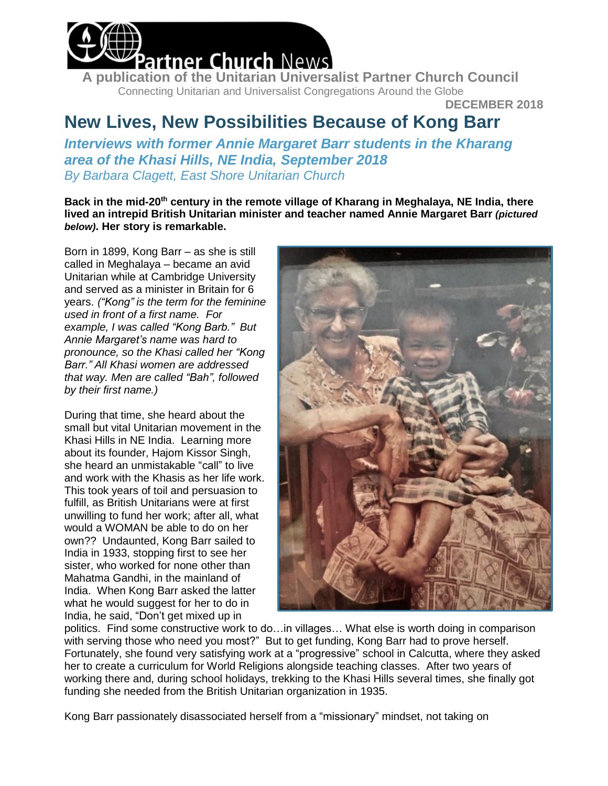

**A publication of the Unitarian Universalist Partner Church Council** Connecting Unitarian and Universalist Congregations Around the Globe

**DECEMBER 2018**

## **New Lives, New Possibilities Because of Kong Barr**

*Interviews with former Annie Margaret Barr students in the Kharang area of the Khasi Hills, NE India, September 2018 By Barbara Clagett, East Shore Unitarian Church*

**Back in the mid-20th century in the remote village of Kharang in Meghalaya, NE India, there lived an intrepid British Unitarian minister and teacher named Annie Margaret Barr** *(pictured below)***. Her story is remarkable.**

Born in 1899, Kong Barr – as she is still called in Meghalaya – became an avid Unitarian while at Cambridge University and served as a minister in Britain for 6 years. *("Kong" is the term for the feminine used in front of a first name. For example, I was called "Kong Barb." But Annie Margaret's name was hard to pronounce, so the Khasi called her "Kong Barr." All Khasi women are addressed that way. Men are called "Bah", followed by their first name.)* 

During that time, she heard about the small but vital Unitarian movement in the Khasi Hills in NE India. Learning more about its founder, Hajom Kissor Singh, she heard an unmistakable "call" to live and work with the Khasis as her life work. This took years of toil and persuasion to fulfill, as British Unitarians were at first unwilling to fund her work; after all, what would a WOMAN be able to do on her own?? Undaunted, Kong Barr sailed to India in 1933, stopping first to see her sister, who worked for none other than Mahatma Gandhi, in the mainland of India. When Kong Barr asked the latter what he would suggest for her to do in India, he said, "Don't get mixed up in



politics. Find some constructive work to do…in villages… What else is worth doing in comparison with serving those who need you most?" But to get funding, Kong Barr had to prove herself. Fortunately, she found very satisfying work at a "progressive" school in Calcutta, where they asked her to create a curriculum for World Religions alongside teaching classes. After two years of working there and, during school holidays, trekking to the Khasi Hills several times, she finally got funding she needed from the British Unitarian organization in 1935.

Kong Barr passionately disassociated herself from a "missionary" mindset, not taking on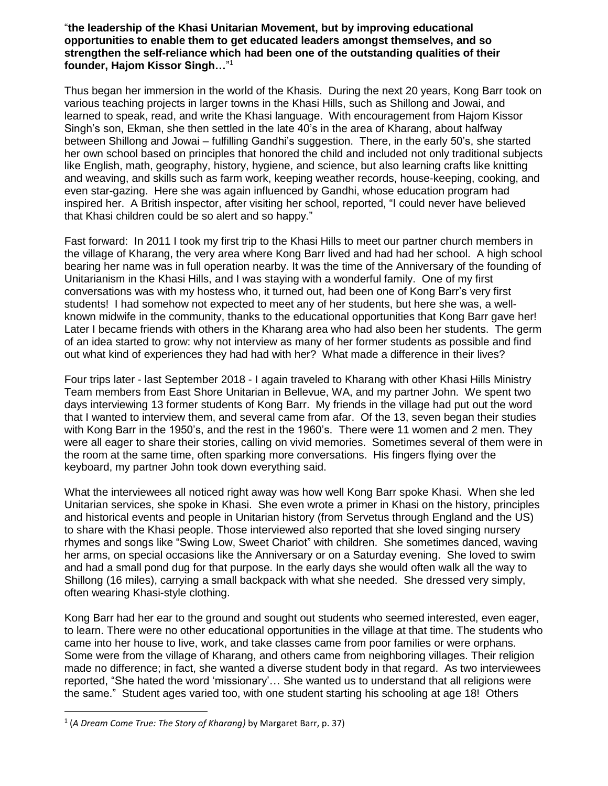## "**the leadership of the Khasi Unitarian Movement, but by improving educational opportunities to enable them to get educated leaders amongst themselves, and so strengthen the self-reliance which had been one of the outstanding qualities of their founder, Hajom Kissor Singh…**" 1

Thus began her immersion in the world of the Khasis. During the next 20 years, Kong Barr took on various teaching projects in larger towns in the Khasi Hills, such as Shillong and Jowai, and learned to speak, read, and write the Khasi language. With encouragement from Hajom Kissor Singh's son, Ekman, she then settled in the late 40's in the area of Kharang, about halfway between Shillong and Jowai – fulfilling Gandhi's suggestion. There, in the early 50's, she started her own school based on principles that honored the child and included not only traditional subjects like English, math, geography, history, hygiene, and science, but also learning crafts like knitting and weaving, and skills such as farm work, keeping weather records, house-keeping, cooking, and even star-gazing. Here she was again influenced by Gandhi, whose education program had inspired her. A British inspector, after visiting her school, reported, "I could never have believed that Khasi children could be so alert and so happy."

Fast forward: In 2011 I took my first trip to the Khasi Hills to meet our partner church members in the village of Kharang, the very area where Kong Barr lived and had had her school. A high school bearing her name was in full operation nearby. It was the time of the Anniversary of the founding of Unitarianism in the Khasi Hills, and I was staying with a wonderful family. One of my first conversations was with my hostess who, it turned out, had been one of Kong Barr's very first students! I had somehow not expected to meet any of her students, but here she was, a wellknown midwife in the community, thanks to the educational opportunities that Kong Barr gave her! Later I became friends with others in the Kharang area who had also been her students. The germ of an idea started to grow: why not interview as many of her former students as possible and find out what kind of experiences they had had with her? What made a difference in their lives?

Four trips later - last September 2018 - I again traveled to Kharang with other Khasi Hills Ministry Team members from East Shore Unitarian in Bellevue, WA, and my partner John. We spent two days interviewing 13 former students of Kong Barr. My friends in the village had put out the word that I wanted to interview them, and several came from afar. Of the 13, seven began their studies with Kong Barr in the 1950's, and the rest in the 1960's. There were 11 women and 2 men. They were all eager to share their stories, calling on vivid memories. Sometimes several of them were in the room at the same time, often sparking more conversations. His fingers flying over the keyboard, my partner John took down everything said.

What the interviewees all noticed right away was how well Kong Barr spoke Khasi. When she led Unitarian services, she spoke in Khasi. She even wrote a primer in Khasi on the history, principles and historical events and people in Unitarian history (from Servetus through England and the US) to share with the Khasi people. Those interviewed also reported that she loved singing nursery rhymes and songs like "Swing Low, Sweet Chariot" with children. She sometimes danced, waving her arms, on special occasions like the Anniversary or on a Saturday evening. She loved to swim and had a small pond dug for that purpose. In the early days she would often walk all the way to Shillong (16 miles), carrying a small backpack with what she needed. She dressed very simply, often wearing Khasi-style clothing.

Kong Barr had her ear to the ground and sought out students who seemed interested, even eager, to learn. There were no other educational opportunities in the village at that time. The students who came into her house to live, work, and take classes came from poor families or were orphans. Some were from the village of Kharang, and others came from neighboring villages. Their religion made no difference; in fact, she wanted a diverse student body in that regard. As two interviewees reported, "She hated the word 'missionary'… She wanted us to understand that all religions were the same." Student ages varied too, with one student starting his schooling at age 18! Others

 $\overline{a}$ 

<sup>1</sup> (*A Dream Come True: The Story of Kharang)* by Margaret Barr, p. 37)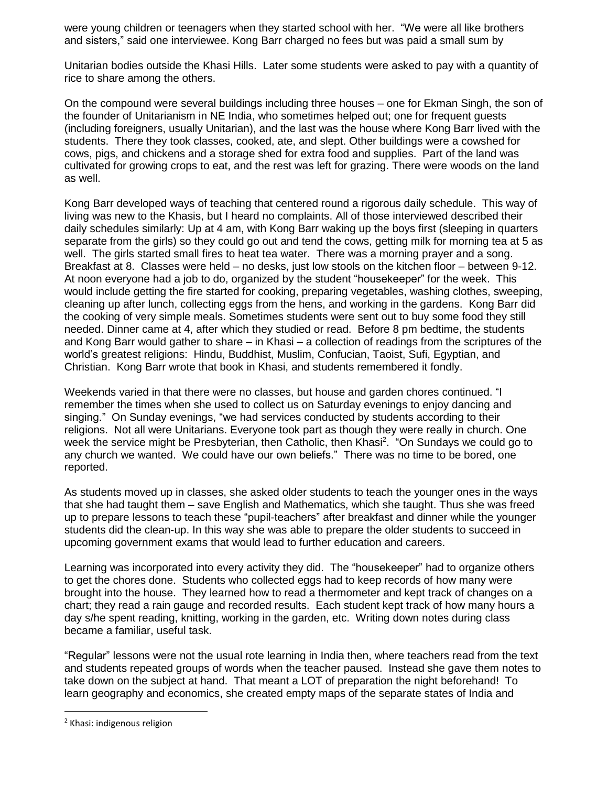were young children or teenagers when they started school with her. "We were all like brothers and sisters," said one interviewee. Kong Barr charged no fees but was paid a small sum by

Unitarian bodies outside the Khasi Hills. Later some students were asked to pay with a quantity of rice to share among the others.

On the compound were several buildings including three houses – one for Ekman Singh, the son of the founder of Unitarianism in NE India, who sometimes helped out; one for frequent guests (including foreigners, usually Unitarian), and the last was the house where Kong Barr lived with the students. There they took classes, cooked, ate, and slept. Other buildings were a cowshed for cows, pigs, and chickens and a storage shed for extra food and supplies. Part of the land was cultivated for growing crops to eat, and the rest was left for grazing. There were woods on the land as well.

Kong Barr developed ways of teaching that centered round a rigorous daily schedule. This way of living was new to the Khasis, but I heard no complaints. All of those interviewed described their daily schedules similarly: Up at 4 am, with Kong Barr waking up the boys first (sleeping in quarters separate from the girls) so they could go out and tend the cows, getting milk for morning tea at 5 as well. The girls started small fires to heat tea water. There was a morning prayer and a song. Breakfast at 8. Classes were held – no desks, just low stools on the kitchen floor – between 9-12. At noon everyone had a job to do, organized by the student "housekeeper" for the week. This would include getting the fire started for cooking, preparing vegetables, washing clothes, sweeping, cleaning up after lunch, collecting eggs from the hens, and working in the gardens. Kong Barr did the cooking of very simple meals. Sometimes students were sent out to buy some food they still needed. Dinner came at 4, after which they studied or read. Before 8 pm bedtime, the students and Kong Barr would gather to share – in Khasi – a collection of readings from the scriptures of the world's greatest religions: Hindu, Buddhist, Muslim, Confucian, Taoist, Sufi, Egyptian, and Christian. Kong Barr wrote that book in Khasi, and students remembered it fondly.

Weekends varied in that there were no classes, but house and garden chores continued. "I remember the times when she used to collect us on Saturday evenings to enjoy dancing and singing." On Sunday evenings, "we had services conducted by students according to their religions. Not all were Unitarians. Everyone took part as though they were really in church. One week the service might be Presbyterian, then Catholic, then Khasi<sup>2</sup>. "On Sundays we could go to any church we wanted. We could have our own beliefs." There was no time to be bored, one reported.

As students moved up in classes, she asked older students to teach the younger ones in the ways that she had taught them – save English and Mathematics, which she taught. Thus she was freed up to prepare lessons to teach these "pupil-teachers" after breakfast and dinner while the younger students did the clean-up. In this way she was able to prepare the older students to succeed in upcoming government exams that would lead to further education and careers.

Learning was incorporated into every activity they did. The "housekeeper" had to organize others to get the chores done. Students who collected eggs had to keep records of how many were brought into the house. They learned how to read a thermometer and kept track of changes on a chart; they read a rain gauge and recorded results. Each student kept track of how many hours a day s/he spent reading, knitting, working in the garden, etc. Writing down notes during class became a familiar, useful task.

"Regular" lessons were not the usual rote learning in India then, where teachers read from the text and students repeated groups of words when the teacher paused. Instead she gave them notes to take down on the subject at hand. That meant a LOT of preparation the night beforehand! To learn geography and economics, she created empty maps of the separate states of India and

 $\overline{a}$ 

<sup>2</sup> Khasi: indigenous religion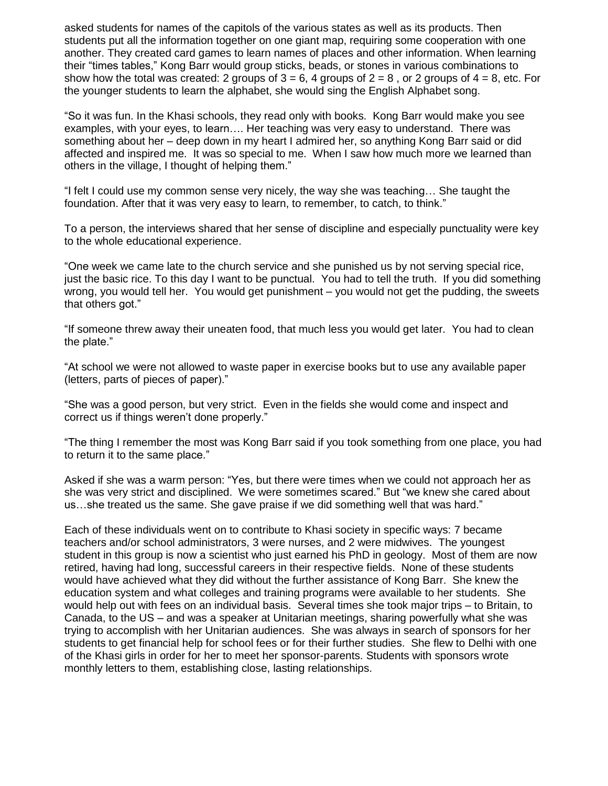asked students for names of the capitols of the various states as well as its products. Then students put all the information together on one giant map, requiring some cooperation with one another. They created card games to learn names of places and other information. When learning their "times tables," Kong Barr would group sticks, beads, or stones in various combinations to show how the total was created: 2 groups of  $3 = 6$ , 4 groups of  $2 = 8$ , or 2 groups of  $4 = 8$ , etc. For the younger students to learn the alphabet, she would sing the English Alphabet song.

"So it was fun. In the Khasi schools, they read only with books. Kong Barr would make you see examples, with your eyes, to learn…. Her teaching was very easy to understand. There was something about her – deep down in my heart I admired her, so anything Kong Barr said or did affected and inspired me. It was so special to me. When I saw how much more we learned than others in the village, I thought of helping them."

"I felt I could use my common sense very nicely, the way she was teaching… She taught the foundation. After that it was very easy to learn, to remember, to catch, to think."

To a person, the interviews shared that her sense of discipline and especially punctuality were key to the whole educational experience.

"One week we came late to the church service and she punished us by not serving special rice, just the basic rice. To this day I want to be punctual. You had to tell the truth. If you did something wrong, you would tell her. You would get punishment – you would not get the pudding, the sweets that others got."

"If someone threw away their uneaten food, that much less you would get later. You had to clean the plate."

"At school we were not allowed to waste paper in exercise books but to use any available paper (letters, parts of pieces of paper)."

"She was a good person, but very strict. Even in the fields she would come and inspect and correct us if things weren't done properly."

"The thing I remember the most was Kong Barr said if you took something from one place, you had to return it to the same place."

Asked if she was a warm person: "Yes, but there were times when we could not approach her as she was very strict and disciplined. We were sometimes scared." But "we knew she cared about us…she treated us the same. She gave praise if we did something well that was hard."

Each of these individuals went on to contribute to Khasi society in specific ways: 7 became teachers and/or school administrators, 3 were nurses, and 2 were midwives. The youngest student in this group is now a scientist who just earned his PhD in geology. Most of them are now retired, having had long, successful careers in their respective fields. None of these students would have achieved what they did without the further assistance of Kong Barr. She knew the education system and what colleges and training programs were available to her students. She would help out with fees on an individual basis. Several times she took major trips – to Britain, to Canada, to the US – and was a speaker at Unitarian meetings, sharing powerfully what she was trying to accomplish with her Unitarian audiences. She was always in search of sponsors for her students to get financial help for school fees or for their further studies. She flew to Delhi with one of the Khasi girls in order for her to meet her sponsor-parents. Students with sponsors wrote monthly letters to them, establishing close, lasting relationships.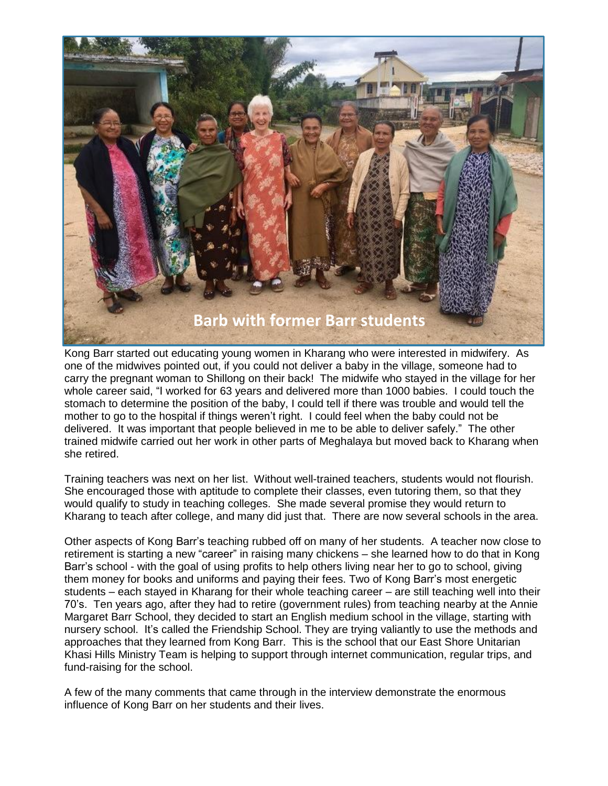

Kong Barr started out educating young women in Kharang who were interested in midwifery. As one of the midwives pointed out, if you could not deliver a baby in the village, someone had to carry the pregnant woman to Shillong on their back! The midwife who stayed in the village for her whole career said, "I worked for 63 years and delivered more than 1000 babies. I could touch the stomach to determine the position of the baby, I could tell if there was trouble and would tell the mother to go to the hospital if things weren't right. I could feel when the baby could not be delivered. It was important that people believed in me to be able to deliver safely." The other trained midwife carried out her work in other parts of Meghalaya but moved back to Kharang when she retired.

Training teachers was next on her list. Without well-trained teachers, students would not flourish. She encouraged those with aptitude to complete their classes, even tutoring them, so that they would qualify to study in teaching colleges. She made several promise they would return to Kharang to teach after college, and many did just that. There are now several schools in the area.

Other aspects of Kong Barr's teaching rubbed off on many of her students. A teacher now close to retirement is starting a new "career" in raising many chickens – she learned how to do that in Kong Barr's school - with the goal of using profits to help others living near her to go to school, giving them money for books and uniforms and paying their fees. Two of Kong Barr's most energetic students – each stayed in Kharang for their whole teaching career – are still teaching well into their 70's. Ten years ago, after they had to retire (government rules) from teaching nearby at the Annie Margaret Barr School, they decided to start an English medium school in the village, starting with nursery school. It's called the Friendship School. They are trying valiantly to use the methods and approaches that they learned from Kong Barr. This is the school that our East Shore Unitarian Khasi Hills Ministry Team is helping to support through internet communication, regular trips, and fund-raising for the school.

A few of the many comments that came through in the interview demonstrate the enormous influence of Kong Barr on her students and their lives.